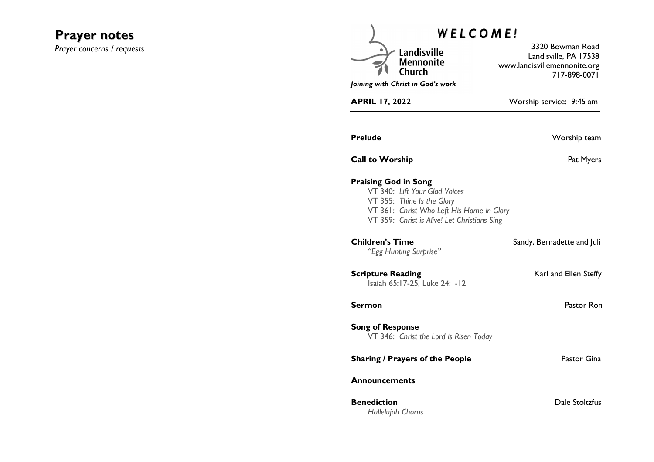# **Prayer notes**

*Prayer concerns / requests* 

| <b>WELCOME!</b>                                                                                                                                                                         |                                                                                           |
|-----------------------------------------------------------------------------------------------------------------------------------------------------------------------------------------|-------------------------------------------------------------------------------------------|
| Landisville<br><b>Mennonite</b>                                                                                                                                                         | 3320 Bowman Road<br>Landisville, PA 17538<br>www.landisvillemennonite.org<br>717-898-0071 |
| Joining with Christ in God's work                                                                                                                                                       |                                                                                           |
| <b>APRIL 17, 2022</b>                                                                                                                                                                   | Worship service: 9:45 am                                                                  |
| <b>Prelude</b>                                                                                                                                                                          | Worship team                                                                              |
| <b>Call to Worship</b>                                                                                                                                                                  | Pat Myers                                                                                 |
| <b>Praising God in Song</b><br>VT 340: Lift Your Glad Voices<br>VT 355: Thine Is the Glory<br>VT 361: Christ Who Left His Home in Glory<br>VT 359: Christ is Alive! Let Christians Sing |                                                                                           |
| <b>Children's Time</b><br>"Egg Hunting Surprise"                                                                                                                                        | Sandy, Bernadette and Juli                                                                |
| <b>Scripture Reading</b><br>Isaiah 65:17-25, Luke 24:1-12                                                                                                                               | Karl and Ellen Steffy                                                                     |
| <b>Sermon</b>                                                                                                                                                                           | Pastor Ron                                                                                |
| <b>Song of Response</b><br>VT 346: Christ the Lord is Risen Today                                                                                                                       |                                                                                           |
| <b>Sharing / Prayers of the People</b>                                                                                                                                                  | Pastor Gina                                                                               |
| <b>Announcements</b>                                                                                                                                                                    |                                                                                           |
| <b>Benediction</b><br>Hallelujah Chorus                                                                                                                                                 | Dale Stoltzfus                                                                            |